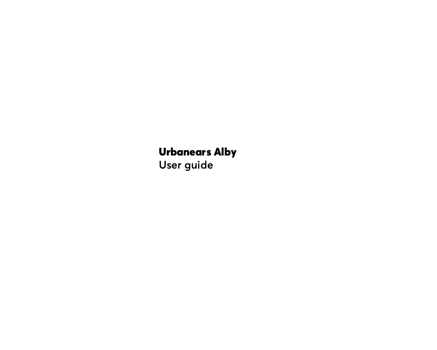# Urbanears Alby

**User guide**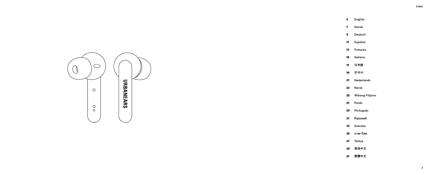- **English**
- **Dansk**
- **Deutsch**
- **Español**
- **Français**
- **Italiano**
- **日本語**
- 9 **한국어**
- **Nederlands**
- **Norsk**
- **Wikang Filipino**
- **Polski**
- **Português**
- **Русский**
- **Svenska**
- **ภาษาไทย**
- **Türkçe**
- **简体中文**
- **繁體中文**

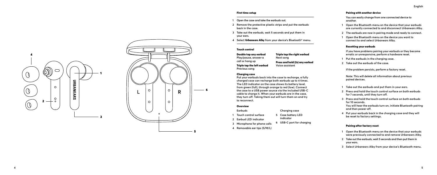#### First time setup

- **1 Open the case and take the earbuds out.**
- **2 Remove the protective plastic strips and put the earbuds back in the case.**
- **3 Take out the earbuds, wait 5 seconds and put them in your ears.**
- **4 Select** Urbanears Alby **from your device's Bluetooth ® menu.**

Triple tap the right earbud

Press and hold (2s) any earbud **Voice assistant**

**Next song**

# Touch control

Double tap any earbud **Play/pause, answer a call or hang up** Triple tap the left earbud **Previous song**

#### Charging case

**Put your earbuds back into the case to recharge, a fully charged case can recharge both earbuds up to 4 times. The LED indicator on the case shows its battery level, from green (full), through orange to red (low). Connect the case to a USB power source via the included USB-C cable to charge it. When your earbuds are in the case, they turn off. Taking them out will turn them on and try to reconnect.**

### **Overview**

- **Earbuds**
- **1 Touch control surface 5 Case battery LED indicator**
- **2 Earbud LED indicator**
- **3 Microphone for phone calls 6 USB-C port for charging**

**Charging case** 

**4 Removable ear tips (S/M/L)**



- **1 Open the Bluetooth menu on the device that your earbuds are currently connected to and disconnect Urbanears Alby.**
- **2 The earbuds are now in pairing mode and ready to connect.**
- **1 Open the Bluetooth menu on the device you want to connect to and select Urbanears Alby.**

# Resetting your earbuds

**If you have problems pairing your earbuds or they become erratic or unresponsive, perform a hardware reset.** 

**1 Put the earbuds in the charging case.**

Pairing with another device

**2 Take out the earbuds of the case.**

**If the problem persists, perform a factory reset.**

**Note: This will delete all information about previous paired devices.**

- **1 Take out the earbuds and put them in your ears.**
- **2 Press and hold the touch control surface on both earbuds for 7 seconds, until they turn off.**
- **3 Press and hold the touch control surface on both earbuds for 10 seconds. You will hear the earbuds turn on, initiate Bluetooth pairing and then power off.**
- **4 Put your earbuds back in the charging case and they will be reset to factory settings.**

#### Pairing after factory reset

- **1 Open the Bluetooth menu on the device that your earbuds were previously connected to and remove Urbanears Alby.**
- **2 Take out the earbuds, wait 5 seconds and then put them in your ears.**
- **3 Select Urbanears Alby from your device's Bluetooth menu.**





5

2

4

 $\mathbb{O}$ 

 $\mathcal{O}$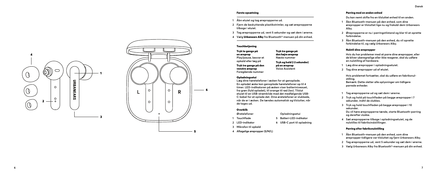#### Første opsætning

- **1 Åbn etuiet og tag ørepropperne ud.**
- **2 Fjern de beskyttende plastikstrimler, og sæt ørepropperne tilbage i etuiet.**
- **<sup>3</sup> Tag ørepropperne ud, vent 5 sekunder og sæt dem i ørerne. 4 Vælg** Urbanears Alby **fra Bluetooth®-menuen på din enhed.**
- 

#### **Touchbetiening**

Tryk to gange på en øreprop **Play/pause, besvar et opkald eller læg på** Tryk tre gange på den venstre øreprop **Foregående nummer**

**En opladet æske kan genoplade høretelefoner op til 4 timer. LED-indikatoren på æsken viser batteriniveauet, fra grøn (fuld opladet), til orange til rød (lav). Tilslut etuiet til en USB-strømkilde med det medfølgende USB-C-kabel for at oplade det. Dine øretelefoner er slukkede, når de er i æsken. De tændes automatisk og tilslutter, når de tages ud.**

- 
- **1 Touchflade**
- **2 LED-indikator**
- **3 Mikrofon til opkald**
- **4 Aftagelige ørepropper (S/M/L)**

# Tryk tre gange på den højre øreprop **Næste nummer** Tryk og hold (i 2 sekunder) på en øreprop **Voice Assistent**

# Opladningsetui

**Læg dine høretelefoner i æsken for at genoplade.** 

#### Overblik **Øretelefoner**

- **Opladningsetui**
- **5 Batteri-LED-indikator**
	- **6 USB-C port til opladning**
- 
- 

# Parring med en anden enhed

**Du kan nemt skifte fra en tilsluttet enhed til en anden.**

- **1 Åbn Bluetooth-menuen på den enhed, som dine ørepropper er tilsluttet lige nu og frakobl dem Urbanears Alby.**
- **2 Ørepropperne er nu i parringstilstand og klar til at oprette forbindelse.**
- **3 Åbn Bluetooth-menuen på den enhed, du vil oprette forbindelse til, og vælg Urbanears Alby.**

# Nulstil dine ørepropper

**Hvis du har problemer med at parre dine ørepropper, eller de bliver uberegnelige eller ikke reagerer, skal du udføre en nulstilling af hardware.** 

- **1 Læg dine ørepropper i opladningsetuiet.**
- **2 Tag dine ørepropper ud af etuiet.**

**Hvis problemet fortsætter, skal du udføre en fabriksnul stilling. Bemærk: Dette sletter alle oplysninger om tidligere parrede enheder.**

- **1 Tag ørepropperne ud og sæt dem i ørerne.**
- **2 Tryk og hold på touchfladen på begge ørepropper i 7 sekunder, indtil de slukkes.**
- **3 Tryk og hold touchfladen på begge ørepropper i 10 sekunder. Du vil høre ørepropperne tænde, starte Bluetooth-parring og derefter slukke.**
- **4 Sæt ørepropperne tilbage i opladningsetuiet, og de nulstilles til fabriksindstillinger.**

# Parring efter fabriksnulstilling

- **1 Åbn Bluetooth-menuen på den enhed, som dine ørepropper tidligere var tilsluttet og fjern Urbanears Alby.**
- **<sup>2</sup> Tag ørepropperne ud, vent 5 sekunder og sæt dem i ørerne. 3 Vælg Urbanears Alby fra Bluetooth®-menuen på din enhed.**
- 





5

4

 $\mathbb{O}$ 

 $\overline{O}$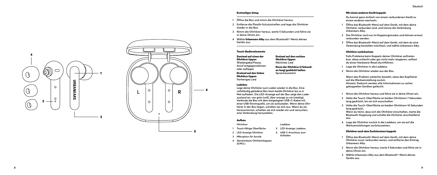#### Erstmaliges Setup

- **1 Öffne die Box und nimm die Ohrhörer heraus.**
- **2 Entferne die Plastik-Schutzstreifen und lege die Ohrhörer wieder in die Box.**
- **3 Nimm die Ohrhörer heraus, warte 5 Sekunden und führe sie in deine Ohren ein.**
- **4 Wähle** Urbanears Alby **aus dem Bluetooth ®-Menü deines Geräts aus.**

# Touch-Bedienelemente

Zweimal auf einen der Ohrhörer tippen **Wiedergabe/Pause, Anruf entgegennehmen oder auflegen** Dreimal auf den linken Ohrhörer tippen **Vorheriges Lied**

# Dreimal auf den rechten Ohrhörer tippen **Nächstes Lied** Einen der Ohrhörer (2 Sekund en lang) gedrückt halten **Sprachassistent**

#### Ladebox

**Lege deine Ohrhörer zum Laden wieder in die Box. Eine vollständig geladene Box kann beide Ohrhörer bis zu 4 Mal aufladen. Die LED-Anzeige auf der Box zeigt den Lade zustand an: von grün (voll), über orange zu rot (niedrig). Verbinde die Box mit dem beigelegten USB-C-Kabel mit einer USB-Stromquelle, um sie aufzuladen. Wenn deine Ohr hörer in der Box liegen, schalten sie sich aus. Wenn du sie herausnimmst, schalten sie sich wieder ein und versuchen, eine Verbindung herzustellen.**

> **Ladebox 5 LED-Anzeige Ladebox**

> > **Aufladen**

#### Aufbau

#### **Ohrhörer**

- **1 Touch-fähige Oberfläche**
- **2 LED-Anzeige Ohrhörer 6 USB-C-Anschluss zum**
- **3 Mikrophon für Anrufe**
- **4 Abnehmbare Ohrhörerkappen (S/M/L)**

#### Mit einem anderen Gerät koppeln

**Du kannst ganz einfach von einem verbundenen Gerät zu einem anderen wechseln.**

- **1 Öffne das Bluetooth-Menü auf dem Gerät, mit dem deine Ohrhörer verbunden sind, und trenne die Verbindung Urbanears Alby.**
- **2 Die Ohrhörer sind nun im Kopplungsmodus und können erneut verbunden werden.**
- **3 Öffne das Bluetooth-Menü auf dem Gerät, mit dem du eine Verbindung herstellen möchtest, und wähle Urbanears Alby.**

#### Ohrhörer zurücksetzen

**Falls Probleme beim Koppeln deiner Ohrhörer auftreten bzw. diese schlecht oder gar nicht mehr reagieren, solltest du einen Hardware-Reset durchführen.** 

- **1 Lege die Ohrhörer in die Ladebox.**
- **2 Nimm die Ohrhörer wieder aus der Box.**

**Wenn das Problem weiterhin besteht, setze den Kopfhörer auf die Werkseinstellung zurück. Hinweis: Dadurch werden alle Informationen zu vorher gekoppelten Geräten gelöscht.**

- **1 Nimm die Ohrhörer heraus und führe sie in deine Ohren ein.**
- **2 Halte die Touch-Oberfläche an beiden Ohrhörern 7 Sekunden lang gedrückt, bis sie sich ausschalten.**
- **3 Halte die Touch-Oberfläche an beiden Ohrhörern 10 Sekunden lang gedrückt. Wenn du hörst, dass sich die Ohrhörer einschalten, starte die Bluetooth-Kopplung und schalte die Ohrhörer anschließend aus.**
- **4 Lege die Ohrhörer zurück in die Ladebox, um sie auf die Werkseinstellungen zurückzusetzen.**

#### Ohrhörer nach dem Zurücksetzen koppeln

- **1 Öffne das Bluetooth-Menü auf dem Gerät, mit dem deine Ohrhörer zuvor verbunden waren, und entferne den Eintrag Urbanears Alby.**
- **2 Nimm die Ohrhörer heraus, warte 5 Sekunden und führe sie in deine Ohren ein.**
- **3 Wähle Urbanears Alby aus dem Bluetooth ®-Menü deines Geräts aus.**





5

6

2

4

 $\mathbb{O}$ 

 $\mathcal{O}$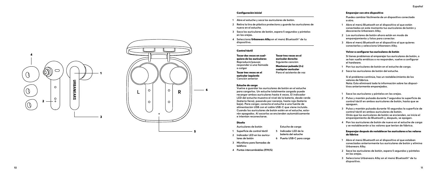#### Configuración inicial

- **1 Abre el estuche y saca los auriculares de botón.**
- **2 Retira la tira de plástico protectora y guarda los auriculares de nuevo en el estuche.**
- **3 Saca los auriculares de botón, espera 5 segundos y póntelos en las orejas.**
- **4 Selecciona** Urbanears Alby **en el menú Bluetooth ® de tu dispositivo.**

#### Control táctil

Tocar dos veces en cual quiera de los auriculares **Reproducir/pausar, responder a una llamada o colgar** Tocar tres veces en el auricular izquierdo **Canción anterior** Tocar tres veces en el auricular derecho **Siguiente canción** cualquier auricular **Para el asistente de voz**

#### Estuche de carga

**Vuelve a guardar los auriculares de botón en el estuche para cargarlos. Un estuche totalmente cargado puede recargar ambos auriculares hasta 4 veces. El indicador LED del estuche muestra el nivel de la batería, desde verde (batería llena), pasando por naranja, hasta rojo (batería baja). Para cargar, conecta el estuche a una fuente de alimentación USB con el cable USB-C que viene incluido. Cuando los auriculares de botón estén en el estuche, esta rán apagados. Al sacarlos se encienden automáticamente e intentan reconectarse.**

#### Diseño

**lares de botón**

**Auriculares de botón**

- **1 Superficie de control táctil 5 Indicador LED de la**
- **2 Indicador LED en los auricu batería del estuche**
	- **6 Puerto USB-C para carga**

**Estuche de carga**

Mantener pulsado (2 s)

- **3 Micrófono para llamadas de teléfono**
- **4 Puntas intercambiables (P/M/G)**

#### Emparejar con otro dispositivo

**Puedes cambiar fácilmente de un dispositivo conectado a otro.**

- **1 Abre el menú Bluetooth en el dispositivo al que están conectados en este momento tus auriculares de botón y desconecta Urbanears Alby.**
- **2 Los auriculares de botón ahora están en modo de emparejamiento y listos para conectar.**
- **3 Abre el menú Bluetooth en el dispositivo al que quieres conectarlos y selecciona Urbanears Alby.**

#### Volver a configurar tus auriculares de botón

**Si tienes problemas al emparejar tus auriculares de botón, o se han vuelto erráticos o no responden, vuelve a configurar el hardware.** 

- **1 Pon tus auriculares de botón en el estuche de carga.**
- **2 Saca los auriculares de botón del estuche.**

**Si el problema continúa, haz un restablecimiento de los valores de fábrica. Nota: Esto eliminará toda la información sobre los disposi tivos anteriormente emparejados.**

- **1 Saca los auriculares y póntelos en las orejas.**
- **2 Pulsa y mantén pulsada durante 7 segundos la superficie de control táctil en ambos auriculares de botón, hasta que se apaguen.**
- **3 Pulsa y mantén pulsada durante 10 segundos la superficie de control táctil en ambos auriculares de botón. Oirás que los auriculares de botón se encienden, se inicia el emparejamiento de Bluetooth y, después, se apagan.**
- **4 Pon los auriculares de botón de nuevo en el estuche de carga y se restablecerán a los valores que tenían de fábrica.**

#### Emparejar después de restablecer los auriculares a los valores de fábrica

- **1 Abre el menú Bluetooth en el dispositivo al que estaban conectados anteriormente tus auriculares de botón y elimina Urbanears Alby.**
- **2 Saca los auriculares de botón, espera 5 segundos y póntelos en las orejas.**
- **3 Selecciona Urbanears Alby en el menú Bluetooth ® de tu dispositivo.**

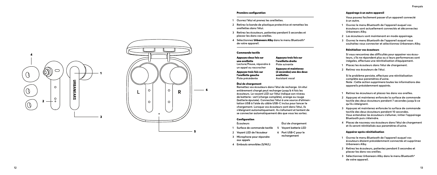#### Première configuration

- **1 Ouvrez l'étui et prenez les oreillettes.**
- **2 Retirez la bande de plastique protectrice et remettez les oreillettes dans l'étui.**
- **3 Retirez les écouteurs, patientez pendant 5 secondes et placez-les dans vos oreilles.**
- **4 Sélectionnez** Urbanears Alby **dans le menu Bluetooth ® de votre appareil.**

#### Commande tactile

Appuyez deux fois sur une oreillette **Lecture/Pause, répondre à un appel ou raccrocher** Appuyez trois fois sur l'oreillette gauche **Piste précédente** Appuyez trois fois sur l'oreillette droite **Piste suivante** Appuyez et maintenez (2 secondes) une des deux oreillettes **Assistant vocal**

#### Étui de chargement

**Remettez vos écouteurs dans l'étui de recharge. Un étui entièrement chargé peut recharger jusqu'à 4 fois les écouteurs. Le voyant LED sur l'étui indique son niveau de batterie : vert (charge complète), orange ou rouge (batterie épuisée). Connectez l'étui à une source d'alimen tation USB à l'aide du câble USB-C inclus pour lancer le chargement. Lorsque vos écouteurs sont dans l'étui, ils s'éteignent automatiquement. Ils s'allument et tentent de se connecter automatiquement dès que vous les sortez.**

#### **Configuration**

**Écouteurs**

- **1 Surface de commande tactile 5 Voyant batterie LED**
- **2 Voyant LED de l'écouteur 6 Port USB-C pour le**

**Étui de chargement**

- **3 Microphone pour répondre rechargement**
- **aux appels**
- **4 Embouts amovibles (S/M/L)**

#### Appairage à un autre appareil

**Vous pouvez facilement passer d'un appareil connecté à un autre.**

- **1 Ouvrez le menu Bluetooth de l'appareil auquel vos écouteurs sont actuellement connectés et déconnectez Urbanears Alby.**
- **2 Les écouteurs sont maintenant en mode appairage.**
- **3 Ouvrez le menu Bluetooth de l'appareil auquel vous souhaitez vous connecter et sélectionnez Urbanears Alby.**

#### Réinitialiser vos écouteurs

**Si vous rencontrez des difficultés pour appairer vos écou teurs, s'ils ne répondent plus ou si leurs performances sont inégales, effectuez une réinitialisation d'équipement.** 

- **1 Placez les écouteurs dans l'étui de chargement.**
- **2 Retirez vos écouteurs de l'étui.**

**Si le problème persiste, effectuez une réinitialisation complète aux paramètres d'usine. Note : Cette action supprimera toutes les informations des appareils précédemment appairés.**

- **1 Retirez les écouteurs et placez-les dans vos oreilles.**
- **2 Appuyez et maintenez enfoncée la surface de commande tactile des deux écouteurs pendant 7 secondes jusqu'à ce qu'ils s'éteignent.**
- **3 Appuyez et maintenez enfoncée la surface de commande tactile des deux écouteurs pendant 10 secondes. Vous entendrez les écouteurs s'allumer, initier l'appairage Bluetooth puis s'éteindre.**
- **4 Placez de nouveau vos écouteurs dans l'étui de chargement et ils seront réinitialisés aux paramètres d'usine.**

#### Appairer après réinitialisation

- **1 Ouvrez le menu Bluetooth de l'appareil auquel vos écouteurs étaient précédemment connectés et supprimez Urbanears Alby.**
- **2 Retirez les écouteurs, patientez pendant 5 secondes et placez-les dans vos oreilles.**
- **3 Sélectionnez Urbanears Alby dans le menu Bluetooth ® de votre appareil.**

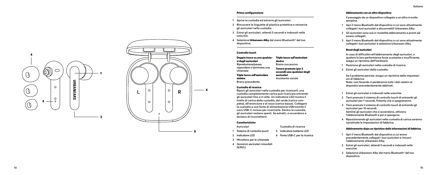#### Prima configurazione

- **1 Aprire la custodia ed estrarre gli auricolari.**
- **2 Rimuovere le linguette di plastica protettive e reinserire gli auricolari nella custodia.**
- **3 Estrai gli auricolari, attendi 5 secondi e indossali nelle orecchie.**
- **4 Seleziona** Urbanears Alby **dal menù Bluetooth ® del tuo dispositivo.**

#### Controllo touch

Doppio tocco su uno qualsia si degli auricolari **Riproduzione/pausa, rispondere o terminare una chiamata** Triplo tocco sull'auricolare sinistro **Brano precedente** Triplo tocco sull'auricolare destro **Brano successivo** Tenere premuto (per 2 secondi) uno qualsiasi degli auricolari **Assistente vocale**

## Custodia di ricarica

**Riponi gli auricolari nella custodia per ricaricarli; una custodia completamente carica può ricaricare entrambi gli auricolari fino a 4 volte. Un indicatore LED mostra il livello di carica della custodia, dal verde (carica com pleta), all'arancione e al rosso (carica bassa). Collegare la custodia a una fonte di alimentazione USB tramite il cavo USB-C incluso per ricaricarla. Dentro la custodia, gli auricolari restano spenti. Se estratti, si accendono e tentano di riconnettersi.**

# Caratteristiche

**Auricolari**

**2 Indicatore LED**

- **1 Sistema di controllo touch 5 Indicatore batteria LED**
	- **6 Porta USB-C per la ricarica**

**Custodia di ricarica**

- **3 Microfono per le chiamate**
- **4 Gommini auricolari rimovibili (S/M/L)**

## Abbinamento con un altro dispositivo

**Il passaggio da un dispositivo collegato a un altro è molto semplice.**

- **1 Apri il menu Bluetooth dal dispositivo a cui sono attualmente collegati i tuoi auricolari e disconnettili Urbanears Alby.**
- **2 Gli auricolari sono ora in modalità abbinamento e pronti ad essere collegati.**
- **3 Apri il menu Bluetooth dal dispositivo a cui sono attualmente collegati i tuoi auricolari e seleziona Urbanears Alby.**

#### Reset degli auricolari

**In caso di difficoltà nell'abbinamento degli auricolari, o qualora la loro performance fosse scostante o insufficiente, esegui un ripristino dell'hardware.** 

- **1 Posiziona gli auricolari nella custodia di ricarica.**
- **2 Estrai gli auricolari dalla custodia.**

**Se il problema persiste, esegui un ripristino delle impostazi oni di fabbrica. Nota: così facendo si perderanno tutti i dati relativi ai dispositivi precedentemente abbinati.**

- **1 Estrai gli auricolari e indossali nelle orecchie.**
- **2 Tieni premuto il sistema di controllo touch di entrambi gli auricolari per 7 secondi, fintanto che si spegneranno.**
- **3 Tieni premuto il sistema di controllo touch di entrambi gli auricolari per 10 secondi. Sentirai gli auricolari che si accendono, attivano l'abbinamento Bluetooth e poi si spengono.**
- **4 Riposizionando gli auricolari nella custodia di carica saranno ripristinate le impostazioni di fabbrica.**

#### Abbinamento dopo un ripristino delle informazioni di fabbrica

- **1 Apri il menu Bluetooth dal dispositivo a cui erano precedentemente collegati i tuoi auricolari e rimuovi l'abbinamento Urbanears Alby.**
- **2 Estrai gli auricolari, attendi 5 secondi e indossali nelle orecchie.**
- **3 Seleziona Urbanears Alby dal menù Bluetooth ® del tuo dispositivo.**



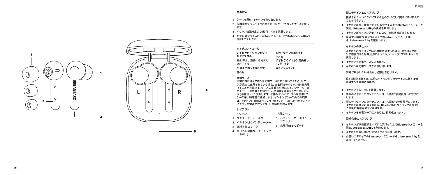# **初期設定**

- 1 ケースを開け、イヤホンを取り出します。
- 2 保護用のプラスチックの帯を取り除き、イヤホンをケースに戻し ます。
- 3 イヤホンを取り出して5秒待ってから装着します。
- 4 お使いのデバイスの**Bluetooth®**メニューから**Urbanears Alby** を 選択してください。

# **タッチコントロール**

| いずれかのイヤホンをダブ<br>ルタップする<br>再生/停止、通話へ応対また<br>は終了する | 右のイヤホンを3回押す<br>次の曲<br>いずれかのイヤホンを長押し<br>(2秒)する |
|--------------------------------------------------|-----------------------------------------------|
| 左のイヤホンを3回押す                                      | 音声アシスタント                                      |
| 前の曲                                              |                                               |

# **充電ケース**

充電の際にはイヤホンを充電ケースに再び戻してください。ケー スが完全に充電されている場合、左右両方のイヤホンを4回充電 することが可能です。ケースに搭載されたLEDインジケーターが バッテリーの残量をお知らせし、色は緑(残量有)からオレンジ、 赤(残量低)へと変わります。付属のUSB-Cケーブルを使用して、 ケースをUSB電源に接続します。イヤホンがケース内にある際 は、イヤホンの電源はオフになります。ケースから取り出すことで イヤホンの電源がオンになり、再接続を試みます。

#### **レイアウト**

- イヤホン 充電ケース
- 1 タッチコントロール面 5 バッテリーケース**LED**イン
- 2 イヤホン**LED**インジケーター ジケーター
- 3 通話可能なマイク 6 充電用**USB-C**ポート
- 4 取り外し可能なイヤーチップ
- $(S/M/L)$

#### **別のデバイスとのペアリング**

接続された一つのデバイスから別のデバイスに簡単に切り替える ことができます。

- **1** イヤホンが現在接続されているデバイス上で**Bluetooth**メニューを 開き、**Urbanears Alby**の接続を解除します。
- **2** イヤホンがペアリングモードになり、接続準備が完了します。
- **3** 希望する接続先のデバイス上で**Bluetooth**メニューを開 き、**Urbanears Alby**を選択します。

## **イヤホンのリセット**

イヤホンのペアリング時に問題が発生した場合、またはイヤホ ンが不安定または無反応になったら、ハードウェアのリセットを 実行します。

**1** イヤホンを充電ケースに入れます。

**2** イヤホンを充電ケースから取り出します。

### 問題が解決しない場合は、初期化を行います。

注:初期化を行うと、以前にペアリングしたデバイスに関する情 報はすべて削除されます。

#### **1** イヤホンを取り出して装着します。

- **2** 両方のイヤホンのタッチコントロール面を **7**秒間長押してオフに します。
- **3** 両方のイヤホンのタッチコントロール面を**10**秒間長押しします。 イヤホンがオンになる音がし、**Bluetooth**のペアリングが開始し、 その後に電源がオフになります。
- **4** イヤホンを充電ケースに入れると、初期化されます。

#### **初期化後のペアリング**

- **1** イヤホンが以前接続されていたデバイス上で**Bluetooth**メニューを 開き、**Urbanears Alby**を削除します。
- **2** イヤホンを取り出して5秒待ってから装着します。
- **3** お使いのデバイスの**Bluetooth®**メニューから**Urbanears Alby** を 選択してください。

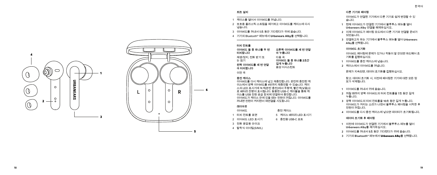# **최초 설치**

- 1 케이스를 열어서 이어버드를 꺼냅니다.
- 2 보호용 플라스틱 스트립을 제거하고 이어버드를 케이스에 다시 넣습니다.
- 3 이어버드를 꺼내서 5초 동안 기다렸다가 귀에 꼽습니다.
- 4 기기의 Bluetooth® 메뉴에서 **Urbanears Alby**를 선택합니다.

# **터치 컨트롤**

| 이어버드 둘 중 하나를 두 번 | 오른쪽 이어버드를 세 번 연달 |
|------------------|------------------|
| 터치합니다            | 아 누릅니다           |
| 재생/정지, 전화 받기 또   | 다음 곡             |
| 는 끊기             | 이어버드 둘 중 하나를 2초간 |
| 왼쪽 이어버드를 세 번 연달  | 길게 누릅니다          |
| 아 터치합니다          | 음성 어시스터트         |
| 이전 곡             |                  |

# **충전 케이스**

이어버드를 다시 케이스에 넣고 재충전합니다. 완전히 충전된 케 이스에서 양쪽 이어버드를 4번까지 재충전할 수 있습니다. 케이 스의 LED 표시기에 녹색(완전 충전)에서 주황색, 빨간색(낮음)으 로 배터리 잔량이 표시됩니다. 동봉된 USB-C 케이블을 통해 케 이스를 USB 전원 공급 장치에 연결하여 충전합니다. 이어버드가 케이스 안에 있을 때는 전원이 꺼집니다. 이어버드를 꺼내면 전원이 켜지면서 재연결을 시도합니다.

# **레이아웃**

| 이어버드           | 충전 케이스            |  |
|----------------|-------------------|--|
| 1 터치 컨트롤 표면    | 5 케이스 배터리 LED 표시기 |  |
| 2 이어버드 LED 표시기 | 6 충전용 USB-C 포트    |  |
| 3 전화 응답용 마이크   |                   |  |
|                |                   |  |

4 탈착식 이어팁(S/M/L)

# **다른 기기와 페어링**

이어버드가 연결된 기기에서 다른 기기로 쉽게 변경할 수 있 습니다.

- **1** 현재 이어버드가 연결된 기기에서 블루투스 메뉴를 열어 **Urbanears Alby** 연결을 해제하십시오 **.**
- **2** 이제 이어버드가 페어링 모드에서 다른 기기와 연결할 준비가 되었습니다 **.**
- **3** 연결하고자 하는 기기에서 블루투스 메뉴를 열어 **Urbanears Alby** 를 선택합니다 **.**

# **이어버드 초기화**

이어버드 페어링에 문제가 있거나 작동이 잘 안되면 하드웨어 초 기화를 진행하십시오.

- **1** 이어버드를 충전 케이스에 넣습니다.
- **2** 케이스에서 이어버드를 꺼냅니다.

문제가 지속되면, 데이터 초기화를 진행하십시오.

참고: 데이터 초기화 시, 이전에 페어링한 기기에 대한 모든 정 보가 삭제됩니다.

- **1** 이어버드를 꺼내서 귀에 꼽습니다 **.**
- **2** 꺼질 때까지 양쪽 이어버드의 터치 컨트롤을 **7** 초 동안 길게 누릅니다 **.**
- **3** 양쪽 이어버드의 터치 컨트롤을 **10** 초 동안 길게 누릅니다**.**  이어버드가 켜지는 소리가 나면서 블루투스 페어링을 시작한 후 전원이 꺼집니다 **.**
- **4** 이어버드를 다시 충전 케이스에 넣으면 데이터가 초기화됩니다 **.**

#### **데이터 초기화 후 페어링**

- **1** 이전에 이어버드가 연결된 기기에서 블루투스 메뉴를 열어 **Urbanears Alby** 를 제거하십시오 **.**
- **2** 이어버드를 꺼내서 **5** 초 동안 기다렸다가 귀에 꼽습니다.
- **3** 기기의 **Bluetooth ®** 메뉴에서 Urbanears Alby 를 선택합니다.

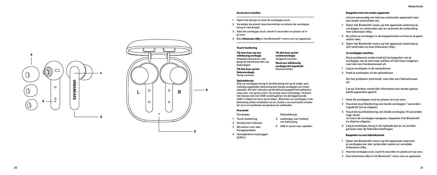#### Eerste keer instellen

- **1 Open het doosje en haal de oordopjes eruit.**
- **2 Verwijder de plastic beschermstrips en plaats de oordopjes terug in het doosje.**
- **3 Haal de oordopjes eruit, wacht 5 seconden en plaats ze in je oren.**
- **4 Kies** Urbanears Alby **in het Bluetooth ®-menu van uw apparaat.**

#### Touch-bediening

Tik twee keer op een willekeurig oordopje **Afspelen/pauzeren, een gesprek beantwoorden op beëindigen** Tik drie keer op het linkeroordopje **Vorig nummer** Tik drie keer op het rechteroordopje **Volgend nummer** Houd een willekeurig oordopje (2s) ingedrukt **Stemassistant**

#### Oplaaddoosje

**Doe uw oordopjes terug in de behuizing om op te laden, een volledig opgeladen behuizing kan beide oordopjes tot 4 keer opladen. De led-indicator op de behuizing geeft het batterijni veau aan, van groen (vol), via oranje naar rood (leeg). Verbind het doosje met een USB-voedingsbron via de bijgeleverde USB-C-kabel om hem op te laden. Wanneer uw oordopjes in de behuizing zitten schakelen ze uit. Zodra u ze eruit haalt schake len ze in en proberen ze opnieuw te verbinden.**

#### Overzicht **Oordopjes**

**Oplaaddoosje**

- **5 Ledlampje voor batterij van behuizing 6 USB-C-poort voor opladen**
- **2 Oordop led-indicator**
- **1 Touch-bediening 3 Microfoon voor tele-**
- **foongesprekken**
- **4 Verwijderbare oorpluggen (S/M/L)**

#### Koppelen met een ander apparaat

**Je kunt eenvoudig van het ene verbonden apparaat naar een ander overschake-len.**

- **1 Open het Bluetooth-menu op het apparaat waarmee je oordopjes nu verbonden zijn en verbreek de verbinding met Urbanears Alby.**
- **2 Nu zitten je oordopjes in de koppelmodus en kun je ze gaan verbin-den.**
- **3 Open het Bluetooth-menu op het apparaat waarmee je wilt verbinden en kies Urbanears Alby.**

### Je oordopjes resetten

**Als je problemen ondervindt bij het koppelen van je oordopjes, als ze niet meer werken of niet meer reageren, voer dan een hardwarereset uit.** 

- **1 Leg je oordopjes in de oplaadcase.**
- **2 Haal je oordopjes uit de oplaadcase.**

**Als het probleem aanhoudt, voer dan een fabrieksreset uit.**

**Let op: hierdoor wordt alle informatie over eerder gekop pelde apparaten gewist.**

- **1 Haal de oordopjes eruit en plaats ze in je oren.**
- **2 Houd de touchbediening van beide oordopjes 7 seconden ingedrukt tot ze uitgaan.**
- **3 Houd de touchbediening van beide oordopjes 10 seconden inge-drukt. Je hoort de oordopjes aangaan, koppelen met Bluetooth** 
	- **en daarna uitgaan.**
- **4 Leg je oordopjes terug in de oplaadcase en ze worden gereset naar de fabrieksinstellingen.**

#### Koppelen na een fabrieksreset

- **1 Open het Bluetooth-menu op het apparaat waarmee je oordopjes eer-der verbonden waren en verwijder Urbanears Alby.**
- **<sup>2</sup> Haal de oordopjes eruit, wacht 5 seconden en plaats ze in je oren. 3 Kies Urbanears Alby in het Bluetooth®-menu van uw apparaat.**
- 



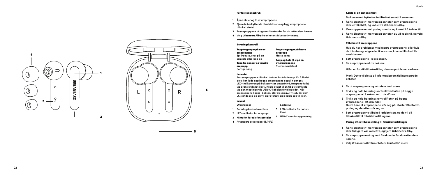#### Før førstegangsbruk

- **1 Åpne etuiet og ta ut øreproppene.**
- **2 Fjern de beskyttende plaststripsene og legg øreproppene tilbake i etuiet.**
- **<sup>3</sup> Ta øreproppene ut og vent 5 sekunder før du setter dem i ørene. 4 Velg** Urbanears Alby **fra enhetens Bluetooth®-meny.**
- 

#### Berøringskontroll

Tapp to ganger på en av øreproppene **Spill/pause, svar på en samtale eller legg på** Tapp tre ganger på venstre ørepropp **Forrige sang**

#### Ladeetui

**Sett øreproppene tilbake i boksen for å lade opp. En fulladet boks kan lade opp begge øreproppene opptil 4 ganger. LED-indikatoren på boksen viser batterinivå, fra grønt (fullt), via oransje til rødt (lavt). Koble etuiet til en USB-strømkilde via den medfølgende USB-C-kabelen for å lade det. Når øreproppene ligger i boksen, slår de seg av. Hvis du tar dem ut, slår de seg på og vil gjøre forsøk på å koble seg til igjen.**

#### Layout **Ørepropper**

- **1 Berøringskontrolloverflate 5 LED-indikator for batter iboks**
- **2 LED-indikator for ørepropp**
- **3 Mikrofon for telefonsamtaler 6 USB-C-port for oppladning**

**Ladeetui**

Tapp tre ganger på høyre

ørepropp **Neste sang** Tapp og hold (2 s) på en av øreproppene **Stemmeassistent**

**4 Avtagbare ørepropper (S/M/L)**

#### Koble til en annen enhet

**Du kan enkelt bytte fra én tilkoblet enhet til en annen.**

- **1 Åpne Bluetooth-menyen på enheten som øreproppene dine er tilkoblet, og koble fra Urbanears Alby.**
- **2 Øreproppene er nå i paringsmodus og klare til å kobles til.**
- **3 Åpne Bluetooth-menyen på enheten du vil koble til, og velg Urbanears Alby.**

# Tilbakestill øreproppene

**Hvis du har problemer med å pare øreproppene, eller hvis de blir uberegnelige eller ikke svarer, kan du tilbakestille maskinvaren.** 

- **1 Sett øreproppene i ladeboksen.**
- **2 Ta øreproppene ut av boksen.**

**Utfør en fabrikktilbakestilling dersom problemet vedvarer.**

**Merk: Dette vil slette all informasjon om tidligere parede enheter.**

- **1 Ta ut øreproppene og sett dem inn i ørene.**
- **2 Trykk og hold berøringskontrolloverflaten på begge øreproppene i 7 sekunder til de slås av.**
- **3 Trykk og hold berøringskontrollflaten på begge øreproppene i 10 sekunder. Du vil høre at øreproppene slår seg på, starter Bluetoothparing og deretter slår seg av.**
- **4 Sett øreproppene tilbake i ladeboksen, og de vil bli tilbakestilt til fabrikkinnstillingene.**

# Paring etter tilbakestilling til fabrikkinnstillinger

- **1 Åpne Bluetooth-menyen på enheten som øreproppene dine tidligere var koblet til, og fjern Urbanears Alby.**
- **2 Ta øreproppene ut og vent 5 sekunder før du setter dem i ørene.**
- **3 Velg Urbanears Alby fra enhetens Bluetooth ®-meny.**



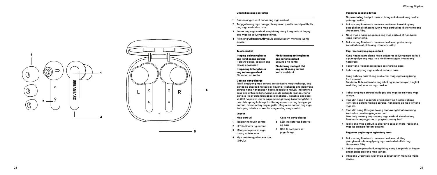#### Unang beses na pag-setup

- **1 Buksan ang case at ilabas ang mga earbud.**
- **2 Tanggalin ang mga pangproteksyon na plastik na strip at ibalik ang mga earbud sa case.**
- **3 Ilabas ang mga earbud, maghintay nang 5 segundo at ilagay ang mga ito sa iyong mga tainga.**
- **4 Piliin ang** Urbanears Alby **mula sa Bluetooth ® menu ng iyong device.**

## Touch control

I-tap ng dalawang beses ang kahit anong earbud **I-play/i-pause, sagutin ang tawag o wakasan** I-tap nang tatlong beses ang kaliwang earbud **Sinundan na kanta**

#### Case na pang-charge

**Ibalik ang iyong mga earbud sa case para mag-recharge, ang ganap na charged na case ay kayang i-recharge ang dalawang earbud nang hanggang 4 beses. Ipapakita ng LED indicator sa case ang antas ng baterya nito, mula sa berde (ganap), hang gang sa kulay dalandan at pula (mababa). Ikonekta ang case sa USB na power source sa pamamagitan ng kasamang USB-C na cable upang i-charge ito. Kapag nasa case ang iyong mga earbud, mamamatay ang mga ito. Mag-o-on naman ang mga ito kapag inilabas at susubukang muling magkonekta.**

Pindutin nang tatlong beses ang kanang earbud **Susunod na kanta** Pindutin ng matagal (2s) ang kahit anong earbud **Voice assistant**

**Case na pang-charge 5 LED indicator ng baterya ng case 6 USB-C port para sa pag-charge**

#### Layout

**Mga earbud**

- **1 Ibabaw ng touch control**
- **2 LED indicator ng earbud**
- **3 Mikropono para sa mga tawag sa telepono**
- **4 Mga natatanggal na ear tips (S/M/L)**

#### Pagpares sa ibang device

**Napakadaling lumipat mula sa isang nakakonektang device patungo sa iba.**

- **1 Buksan ang Bluetooth menu sa device na kasalukuyang pinagkokonektahan ng iyong mga earbud at idiskonekta ang Urbanears Alby.**
- **2 Nasa mode na ng pagpares ang mga earbud at handa na itong kumonekta.**
- **3 Buksan ang Bluetooth menu sa device na gusto mong konektahan at piliin ang Urbanears Alby.**

#### Pag-reset sa iyong mga earbud

**Kung nagkakaproblema ka sa pagpares sa iyong mga earbud o pumapalya ang mga ito o hindi tumutugon, i-reset ang hardware.** 

- **1 Ilagay ang iyong mga earbud sa charging case.**
- **2 Ilabas ang iyong mga earbud mula sa case.**

**Kung patuloy na iiral ang problema, magsagawa ng isang factory reset.**

**Tandaan: Buburahin nito ang lahat ng impormasyon tungkol sa dating naipares na mga device.**

- **1 Ilabas ang mga earbud at ilagay ang mga ito sa iyong mga tainga.**
- **2 Pindutin nang 7 segundo ang ibabaw ng hinahawakang kontrol sa parehong mga earbud, hanggang sa mag-off ang mga ito.**
- **3 Pindutin nang 10 segundo ang ibabaw ng hinahawakang kontrol sa parehong mga earbud. Maririnig mo ang pag-on ang mga earbud, simulan ang Bluetooth na pagpares at pagkatapos ay i-off.**
- **4 Ibalik ang mga earbud sa charging case at mare-reset ang mga ito sa mga factory setting.**

#### Pagpares pagkatapos ng factory reset

- **1 Buksan ang Bluetooth menu sa device na dating pinagkonektahan ng iyong mga earbud at alisin ang Urbanears Alby.**
- **2 Ilabas ang mga earbud, maghintay nang 5 segundo at ilagay ang mga ito sa iyong mga tainga.**
- **3 Piliin ang Urbanears Alby mula sa Bluetooth ® menu ng iyong device.**



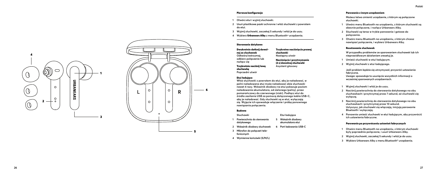#### Pierwsza konfiguracja

- **1 Otwórz etui i wyjmij słuchawki.**
- **2 Usuń plastikowe paski ochronne i włóż słuchawki z powrotem do etui.**
- **<sup>3</sup> Wyjmij słuchawki, zaczekaj 5 sekundy i włóż je do uszu. 4 Wybierz** Urbanears Alby **z menu Bluetooth® urządzenia.**
- 

#### Sterowanie dotykowe

Dwukrotnie dotknij dowol nej ze słuchawek **Odtwórz/wstrzymaj, odbierz połączenie lub rozłącz się** Trzykrotnie naciśnij lewą słuchawkę **Poprzedni utwó r**

Trzykrotne naciśnięcie prawej słuchawki **Następny utwór** Naciśnięcie i przytrzymanie (2 s) dowolnej słuchawki **Asystent głosowy**

#### Etui ładujące

**Włóż słuchawki z powrotem do etui, aby je naładować, w pełni naładowane etui może naładować obie słuchawki nawet 4 razy. Wskaźnik diodowy na etui pokazuje poziom naładowania akumulatora, od zielonego (pełny), przez pomarańczowy do czerwonego (niski). Podłącz etui do źródła zasilania USB za pomocą dołączonego kabla USB-C, aby je naładować. Gdy słuchawki są w etui, wyłączają się. Wyjęcie ich spowoduje włączenie i próbę ponownego nawiązania połączenia.**

#### Budowa **Słuchawki**

- **Etui ładujące**
- **1 Powierzchnia do sterowania dotykowego 5 Wskaźnik diodowy akumulatora etui**
- **2 Wskaźnik diodowy słuchawek 6 Port ładowania USB-C**
- **3 Mikrofon do połączeń telefonicznych**
- **4 Wymienne końcówki (S/M/L)**

#### Parowanie z innym urządzeniem

**Możesz łatwo zmienić urządzenie, z którym są połączone słuchawki.**

- **1 Utwórz menu Bluetooth na urządzeniu, z którym słuchawki są obecnie połączone, i rozłącz Urbanears Alby.**
- **2 Słuchawki są teraz w trybie parowania i gotowe do połączenia.**
- **3 Otwórz menu Bluetooth na urządzeniu, z którym chcesz nawiązać połączenie, i wybierz Urbanears Alby.**

#### Resetowanie słuchawek

**W przypadku problemów ze sparowaniem słuchawek lub ich nieprawidłowym działaniem zresetuj je.** 

- **1 Umieść słuchawki w etui ładującym.**
- **2 Wyjmij słuchawki z etui ładującego.**

**Jeśli problem będzie się utrzymywał, przywróć ustawienia fabryczne. Uwaga: spowoduje to usunięcie wszystkich informacji o wcześniej sparowanych urządzeniach.**

- **1 Wyjmij słuchawki i włóż je do uszu.**
- **2 Naciśnij powierzchnię do sterowania dotykowego na obu słuchawkach i przytrzymaj przez 7 sekund, aż słuchawki się wyłączą.**
- **3 Naciśnij powierzchnię do sterowania dotykowego na obu słuchawkach i przytrzymaj przez 10 sekund. Usłyszysz, jak słuchawki się włączają, inicjują parowanie Bluetooth i wyłączają.**
- **4 Ponownie umieść słuchawki w etui ładującym, aby przywrócić ich ustawienia fabryczne.**

#### Parowanie po przywróceniu ustawień fabrycznych

- **1 Otwórz menu Bluetooth na urządzeniu, z którym słuchawki były poprzednio połączone, i usuń Urbanears Alby.**
- **<sup>2</sup> Wyjmij słuchawki, zaczekaj 5 sekundy i włóż je do uszu. 3 Wybierz Urbanears Alby z menu Bluetooth® urządzenia.**
- 

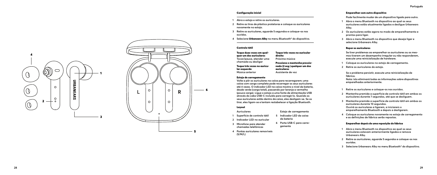#### Configuração inicial

- **1 Abra o estojo e retire os auriculares.**
- **2 Retire as tiras de plástico protetoras e coloque os auriculares novamente no estojo.**
- **3 Retire os auriculares, aguarde 5 segundos e coloque-os nos ouvidos.**
- **4 Selecione** Urbanears Alby **no menu Bluetooth ® do dispositivo.**

#### Controlo tátil

| Toque duas vezes em qual-   | Toque três vezes no auricular |
|-----------------------------|-------------------------------|
| quer um dos auriculares     | direito                       |
| Tocar/pausa, atender uma    | Próxima música                |
| chamada ou desligar         | Pressione e mantenha pressio- |
| Toque três vezes no quricu- | nado (2 seg.) qualquer um dos |
| lar esquerdo                | auriculares                   |
| Música anterior             | Assistente de voz             |

#### Estojo de carregamento

**Volte a pôr os auriculares na caixa para recarregarem; uma caixa com carga completa pode recarregar os seus auriculares até 4 vezes. O indicador LED na caixa mostra o nível da bateria, desde verde (carga total), passando por laranja a vermelho (pouca carga). Ligue o estojo a uma fonte de alimentação USB através do cabo USB-C incluído para carregá-lo. Quando os seus auriculares estão dentro da caixa, eles desligam-se. Se os tirar, eles ligam-se e tentam restabelecer a ligação Bluetooth.**

#### Layout

- **Auriculares**
- **1 Superfície de controlo tátil**
- **2 Indicador LED no auricular**
- **3 Microfone para atender chamadas telefónicas 6 Porta USB-C para carre -**
- **(S/M/L)**

#### Emparelhar com outro dispositivo

**Pode facilmente mudar de um dispositivo ligado para outro.**

- **1 Abra o menu Bluetooth no dispositivo ao qual os seus auriculares estão atualmente ligados e desligue Urbanears Alby.**
- **2 Os auriculares estão agora no modo de emparelhamento e prontos para ligar.**
- **3 Abra o menu Bluetooth no dispositivo que deseja ligar e selecione Urbanears Alby.**

#### Repor os auriculares

**Se tiver problemas ao emparelhar os auriculares ou os mes mos tiverem um desempenho irregular ou não responderem, execute uma reinicialização de hardware.** 

- **1 Coloque os auriculares no estojo de carregamento.**
- **2 Retire os auriculares do estojo.**

**Se o problema persistir, execute uma reinicialização de fábrica. Nota: isto eliminará todas as informações sobre dispositivos emparelhados anteriormente.**

- **1 Retire os auriculares e coloque-os nos ouvidos.**
- **2 Mantenha premida a superfície de controlo tátil em ambos os auriculares durante 7 segundos, até que se desliguem.**
- **3 Mantenha premida a superfície de controlo tátil em ambos os auriculares durante 10 segundos. Ouvirá os auriculares a ligarem, a iniciarem o emparelhamento Bluetooth e depois a desligarem.**
- **4 Coloque os auriculares novamente no estojo de carregamento e as definições de fábrica serão repostas.**

#### Emparelhar depois de uma reposição de fábrica

- **1 Abra o menu Bluetooth no dispositivo ao qual os seus auriculares estavam anteriormente ligados e remova Urbanears Alby.**
- **2 Retire os auriculares, aguarde 5 segundos e coloque-os nos ouvidos.**
- **3 Selecione Urbanears Alby no menu Bluetooth ® do dispositivo.**



# **da bateria**

- 
- 
- **4 Pontas auriculares removíveis**
- **Estojo de carregamento 5 Indicador LED da caixa**

**gamento**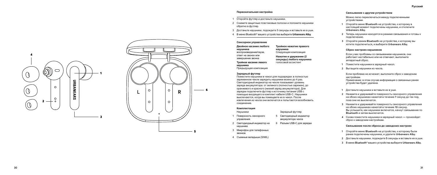#### **Первоначальная настройка**

- 1 Откройте футляр и достаньте наушники.
- 2 Снимите защитные пластиковые полоски и положите наушники обратно в футляр.
- 3 Достаньте наушники, подождите 5 секунды и вставьте их в уши.
- 4 В меню Bluetooth ® вашего устройства выберите **Urbanears Alby** .

**Тройное нажатие правого**

Зарядный футляр

аккумулятора чехла

**наушника** Следующая композиция **Нажатие и удержание (2 секунды) любого наушника** голосовой ассистент

#### **Сенсорное управление**

**Двойное касание любого наушника** воспроизведение/пауза, ответ на звонок или завершение звонка **Тройное касание левого наушника** Предыдущая композиция

#### **Зарядный футляр**

Поместите наушники в чехол для подзарядки: в полностью заряженном чехле зарядить наушники можно до 4 раз. Светодиодный индикатор на чехле показывает уровень заряда аккумулятора: от зеленого (полностью заряжен), до оранжевого и красного (низкий заряд аккумулятора). Для зарядки подключите футляр к источнику питания USB с помощью входящего в комплект кабеля USB-C. Наушники выключаются, когда вы помещаете их в чехол. После извлечения из чехла они включатся и попытаются возобновить соединение.

#### **Комплектация**

- Наушники
- 1 Поверхность сенсорного управления 5 Светодиодный индикатор
- 2 Светодиодный индикатор на наушнике 6 Разъем USB-C для зарядки
- 3 Микрофон для телефонных звонков
- 4 Съемные вкладыши (S/M/L)

#### **Связывание с другим устройством**

Можно легко переключаться между подключенными устройствами.

- **1** Откройте меню **Bluetooth** на устройстве**,**  к которому в настоящий момент подключены наушники**,**  и отключите **Urbanears Alby.**
- **2** Теперь наушники находятся в режиме связывания и готовы к подключению **.**
- **3** Откройте режим **Bluetooth** на устройстве**,**  к которому вы хотите подключиться**,**  и выберите **Urbanears Alby.**

#### **Сброс настроек наушников**

Если у вас проблемы со связыванием наушников, они работают нестабильно или не отвечают, выполните аппаратный сброс.

- **1** Поместите наушники в зарядный чехол **.**
- **2** Вытащите наушники из чехла **.**

Если проблема не исчезнет, выполните сброс к заводским настройкам. Примечание: в этом случае информация о связанных ранее устройства будет удалена.

- **1** Достаньте наушники и вставьте их в уши **.**
- **2** Нажмите и удерживайте поверхность сенсорного управления на обоих наушниках нажатой в течение **7** секунд до тех пор**,**  пока они не выключатся **.**
- **3** Нажмите и удерживайте поверхность сенсорного управления на обоих наушниках нажатой в течение **10** секунд**.**  Вы услышите**,** как наушники включатся**,** начнут связывание по **Bluetooth**  и затем выключатся **.**
- **4** Снова поместите наушники в зарядный чехолпроизойдет сброс к заводским настройкам**.**

#### **Связывание после сброса до заводских настроек**

- **1** Откройте меню **Bluetooth** на устройстве**,**  к которому были ранее подключены наушники**,**  и удалите **Urbanears Alby.**
- **2** Достаньте наушники, подождите **5** секунды и вставьте их в уши.
- **3** В меню **Bluetooth ®** вашего устройства выберите **Urbanears Alby.**



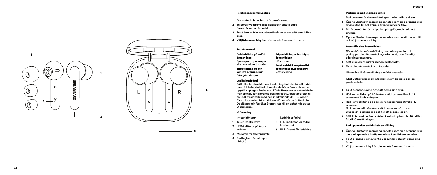## Förstagångskonfiguration

- **1 Öppna fodralet och ta ut öronsnäckorna.**
- **2 Ta bort skyddsremsorna i plast och sätt tillbaka öronsnäckorna i fodralet.**
- **3 Ta ut öronsnäckorna, vänta 5 sekunder och sätt dem i dina öron.**
- **4 Välj** Urbanears Alby **från din enhets Bluetooth ®-meny.**

# Touch-kontroll

Dubbelklicka på valfri öronsnäcka **Spela/pausa, svara på eller avsluta ett samtal** Trippelklicka på den vänstra öronsnäckan **Föregående spår**

### Laddningsfodral

**Sätt tillbaka dina hörlurar i laddningsfodralet för att ladda dem. Ett fulladdat fodral kan ladda båda öronsnäckorna upp till 4 gånger. Fodralets LED-indikator visar batterinivån från grön (fullt) till orange och röd (lågt). Anslut fodralet till en USB-strömkälla med den medföljande USB-C-kabeln för att ladda det. Dina hörlurar slås av när de är i fodralet. De slås på och försöker återansluta till en enhet när du tar ut dem igen.**

#### Utformning

**In-ear hörlurar 1 Touch-kontrollsyta**

**5 LED-indikator för fodra lets batteri**

**Laddningsfodral**

**6 USB-C-port för laddning**

Trippelklicka på den högra öronsnäckan **Nästa spår**

Tryck och håll ner på valfri öronsnäcka i (2 sekunder) **Röststyrning**

- **2 LED-indikator på öron snäcka**
- **3 Mikrofon för telefonsamtal**
- **4 Borttagbara örontoppar (S/M/L)**

#### Parkoppla med en annan enhet

**Du kan enkelt ändra anslutningen mellan olika enheter.**

- **1 Öppna Bluetooth-menyn på enheten som dina öronsnäckor är anslutna till och koppla ifrån Urbanears Alby.**
- **2 Din öronsnäckor är nu i parkopplingsläge och redo att ansluta.**
- **3 Öppna Bluetooth-menyn på enheten som du vill ansluta till och välj Urbanears Alby.**

#### Återställa dina öronsnäckor

**Gör en hårdvaruåterställning om du har problem att parkoppla dina öronsnäckor, de beter sig oberäkneligt eller slutar att svara.** 

- **1 Sätt dina öronsnäckor i laddningsfodralet.**
- **2 Ta ut dina öronsnäckor ur fodralet.**

**Gör en fabriksåterställning om felet kvarstår.**

**Obs! Detta raderar all information om tidigare parkop plade enheter.**

- **1 Ta ut öronsnäckorna och sätt dem i dina öron.**
- **2 Håll kontrollytan på båda öronsnäckorna nedtryckt i 7 sekunder tills de stängs av.**
- **3 Håll kontrollytan på båda öronsnäckorna nedtryckt i 10 sekunder. Du kommer att höra öronsnäckorna slås på, starta**
- **Bluetooth-parkoppling och för att sedan slås av. 4 Sätt tillbaka dina öronsnäckor i laddningsfodralet för utföra**
- **fabriksåterställningen.**

# Parkoppla efter en fabriksåterställning

- **1 Öppna Bluetooth-menyn på enheten som dina öronsnäckor var parkopplade till tidigare och ta bort Urbanears Alby.**
- **2 Ta ut öronsnäckorna, vänta 5 sekunder och sätt dem i dina öron.**
- **3 Välj Urbanears Alby från din enhets Bluetooth ®-meny.**

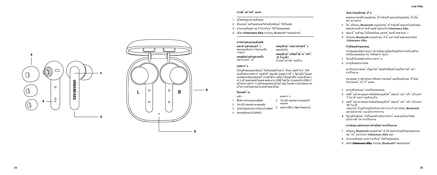# **การต ั ้ งค ่าคร ั ้ งแรก**

- 1 เปิดเคสและเอาหพังออก
- ่ 2 ดึงแถบป ้องกันออกและใส*่*ห ฟังกลับเข ้าไปในเคส
- 3 นำเอาหพ้งออก รอ 5 วินาท*ี*แล<sup>้</sup> วใส<sup>่</sup>ในหของคณ
- ี่ 4 เลือก **Urbanears Alby** จากเมน Bluetooth® ของอปกรณ<sup>์</sup>

# **การควบค ุมแบบส ัมผ ัส**

**แตะท ี ่ห ูฟ ังสองคร ั ้ ง** เล่น/หยุดชั่วคราว รับสายหรือ วางสาย **กดหูฟังข้างซ้ายสามครั้ง** ี เพลงก่อนหน ้าน ี้

# **เคสชาร ์ จ**

่ ใส ่หฟ้งของคณกล้าแข ้ าไปในเคสเพ ื่อชาร ์ จใหม ่ เคสท ี่ชาร ์ จไฟ ็จนเต๊มสามารถชาร จหูพ้งทั้งสองได สูงสุด 4 ครั้ง ไฟ LED ในเคส จะแสดงระดับแบตเตอร์ จากส์เขียว (เต๊ม) ไปจนถึงส์ส มและส์แดง ( ์ ต ำ) เช ือมต อเคสกับแหล งพลังงาน USB โดยใช ้ สายเคเบ ิล USB-C ่ เพ ื่อทำการชาร ์ จ ห ฟังของคณจะป ิดเม ื่ออย ในเคส การนำออกมาจะ เป ็นการเป ิดและพยายามเช ื ่อมต ่อใหม ่

**กดห ูฟ ังข ้ างขวาสามคร ั ้ ง**

**กดห ูฟ ังข ้ างใดก ็ได ้ ค ้ างไว ้ ี (2 วันาทั)**<br>ระบบส*ั*่งการด*้* วยเส*ี*่ยง

เพลงถ ัดไป

# **โครงสร ้ าง**

ห ูฟ ัง

- 1 พื้นผิวการควบคุมแบบสัมผัส
- 2 ไฟ LED แสดงสถานะของหูฟัง
- 3 ไมโครโฟนสำหรับการใช้งานโทรศัพท์ 6 พอรต USB-C เพื่อชาร์จอุปกรณ

เคสชาร ์ จ 5 ไฟ LED แสดงสถานะแบตเตอรี่ ของเคส

4 ปลอกหูฟังถอดได้(S/M/L)ิ

**จ ับค ู ่ก ับอ ุปกรณ ์ อ ื ่น**

ุคณสามารถเปล ี่ยนอปกรณ ์ ที่ กำลังเช ื่อมต่อเป ็นอปกรณ ์ อ ื่นได ้ ่างง่ายดาย

- **1** ให ้ เป ิดเมน ู **Bluetooth** บนอ ุปกรณ ์ ท ี ่กำ ล ังเช ื ่อมต ่อก ับห ูฟ ังของ ค ุณและยกเล ิกการเช ื ่อมเช ื ่อมต ่อก ับ **Urbanears Alby**
- .<br>2 ขณะนี้ หูฟ**ังอย ในโหมดจับค ู่และพร**้อมเช*ื่*อมต่อแล<sup>้</sup> ว
- **3** เป ิดเมน ู **Bluetooth** บนอ ุปกรณ ์ ท ี ่ต ้ องการเช ื ่อมต ่อและเล ือก  **Urbanears Alby**

# **ร ีเซ ็ตห ูฟ ังของค ุณ**

ี หากคณพบปถนทาระหว ่างการจับค หพังหร*ื*อหพังทำงานไม ่เสถ ียร ้ หรือไม่ตอบสนอง ให ้ริเซ ็ตฮาร์ ดแวร์

- 1 ใส**่หพังในเคสส**ำหรับการชาร<sup>์</sup> จ
- **2** นำหฟ**ังออกจากเคส**

่ หากไม่สามารถแก ้ปถิงหาได ้ โปรดรีเช ็ตเครื่ องเป ็นการตั ้งค ่า จากโรงงาน

หมายเหตุ: การดำเน*ิ*นการดังกล ่าวจะลบข<sup>้</sup>อม ูลในอปกรณ<sup>์</sup> ท*ี่* จับค<sup>่</sup> ้ ก้ม ก่อนหนู้. บาวทานนินมาว<br>- ถ้าเกลาแหน่ ้านี้ ทั้งหมด

- **1** เอาห ูฟ ังออกแล ้ วสวมในห ูของค ุณ
- ี 2 กดพ ื้นผ*ิ*วควบคุมการส*้*มผัสบนหูฟ*ั*งทั*้*งสองข<sup>้</sup>างค<sup>้</sup>างไว<sup>้</sup> เป*็*นเวลา  **7** ว ินาท ีจนกว ่าห ูฟ ังจะป ิด
- **3** กดพ ื้นผ*ิ*วควบคุมการส*ั*มผัสบนหูฟ*ั*งทั้งสองข<sup>้</sup>างค<sup>้</sup>างไว<sup>้</sup> เป*็*นเวลา  **10** ว ินาท ี

ค ุณจะได ้ ย ินเส ียงห ูฟ ังเป ิดการท ำ งาน เร ิ ่มการจ ับค ู ่ **Bluetooth**  ้ และหลังจากน้ำเจะบัดการทำงาน

**4 ใส***่* **หพ**ังกลับเข*้* าไปในเคสสาหรับการชาร ์ จและหพังจะร*ี*เซต เป ็นการต ั ้ งค ่าจากโรงงาน

# **การจ ับค ู ่หล ังจากการร ีเซ ็ตค ่าจากโรงงาน**

- **1 เปิดเมน Bluetooth บนอปกรณ<sup>์</sup> ที่เช***ื่***อมต<sup>่</sup>อกับหพ้งของคณก่อน** หน ้ าน ี ้ และนำ เอา **Urbanears Alby** ออก
- **2** นำ เอาห ูฟ ังออก รอ **5** ว ินาท ีแล ้ วใส ่ในห ูของค ุณ
- **3** เล ือก Urbanears Alby จากเมน ู **Bluetooth®** ของอ ุปกรณ ์



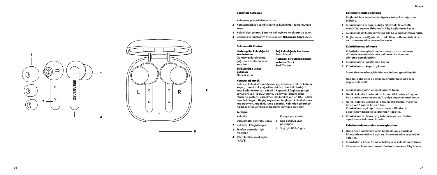# Başlangıç Kurulumu

- **1 Kutuyu açıp kulaklıkları çıkarın.**
- **2 Koruyucu plastik şeridi çıkarın ve kulaklıkları tekrar kutuya koyun.**
- **<sup>3</sup> Kulaklıkları çıkarın, 5 saniye bekleyin ve kulaklarınıza takın. 4 Cihazınızın Bluetooth® menüsünden** Urbanears Alby**'i seçin.**
- 

#### Dokunmatik Kontrol

Herhangi bir kulaklığa iki kez dokunun **Oynatma/duraklatma, çağrıyı cevaplama veya kapatma** Sol kulaklığa üç kez dokunun **Önceki şarkı**

# Sağ kulaklığa üç kez basın **Sonraki şarkı** Herhangi bir kulaklığa basın ve tutun (2 sn.) **Sesli Yardım**

**Kutuyu şarj etmek göstergesi**

#### Kutuyu şarj etmek

**Kulak içi kulaklıklarınızı tekrar şarj etmek için tekrar kabına koyun, tam olarak şarj edilmiş bir kap her iki kulaklığı 4 kata kadar tekrar şarj edebilir. Kaptaki LED göstergesi pil seviyesini yeşil (dolu), turuncu ve kırmızı (düşük) arası renklerle gösterir. Şarj etmek için birlikte verilen USB-C kab losu ile kutuyu USB güç kaynağına bağlayın. Kulaklıklarınız kabındayken, kapalı duruma geçerler. Kabından çıkardığı nızda açılırlar ve yeniden bağlantı kurmaya çalışırlar.**

#### Yerleşim

**Kulaklık**

- **1 Dokunmatik kontrollü yüzey 5 Kap batarya LED**
- **2 Kulaklık LED göstergesi**
- **3 Telefon aramaları için mikrofon 6 Şarj için USB-C girişi**
- **4 Çıkarılabilen kulak uçları (K/O/B)**

# Başka bir cihazla eşleştirme

**Bağlantılı bir cihazdan bir diğerine kolaylıkla değiştire bilirsiniz.**

- **1 Kulaklıklarınızın bağlı olduğu cihazdaki Bluetooth menüsünü açın ve Urbanears Alby bağlantısını kesin.**
- **2 Kulaklıklar artık eşleştirme modunda ve bağlanmaya hazır.**
- **3 Bağlanmak istediğiniz cihazdaki Bluetooth menüsünü açın ve Urbanears Alby seçeneğini seçin.**

### Kulaklıklarınızı sıfırlama

**Kulaklıklarınızı eşleştirmede sorun yaşıyorsanız veya düzensiz veya tepkisiz hale gelirlerse, bir donanım sıfırlama gerçekleştirin.** 

- **1 Kulaklıklarınızı şarj kabına koyun.**
- **2 Kulaklıklarınızı kaptan çıkarın.**

**Sorun devam ederse, bir fabrika sıfırlama gerçekleştirin.**

**Not: Bu, daha önce eşleştirilen cihazlar hakkında tüm bilgileri silecektir.**

- **1 Kulaklıkları çıkarın ve kulaklarınıza takın.**
- **2 Her iki kulaklık üzerindeki dokunmatik kontrol yüzeyine basın ve kapa-nana kadar, 7 saniye boyunca basılı tutun.**
- **3 Her iki kulaklık üzerindeki dokunmatik kontrol yüzeyine basın ve 10 saniye basılı tutun. Kulaklıkların açıldığını duyacaksınız, Bluetooth eşleştirmeyi başlatın ve ardından kapatın.**
- **4 Kulaklıklarınızı tekrar şarj kabına koyun ve fabrika ayarlarına sıfırlana-caklardır.**

# Fabrika sıfırlamasından sonra eşleştirme

- **1 Daha önce kulaklıklarınızın bağlı olduğu cihazdaki Bluetooth menüsü-nü açın ve Urbanears Alby seçeneğini kaldırın.**
- **<sup>2</sup> Kulaklıkları çıkarın, 5 saniye bekleyin ve kulaklarınıza takın. 3 Cihazınızın Bluetooth® menüsünden Urbanears Alby'i seçin.**
- 

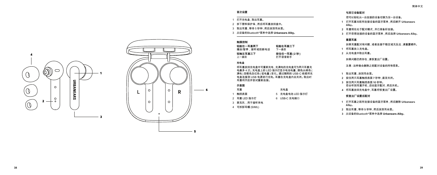# **首次设置**

- 1 打开充电盒,取出耳塞。
- 2 拆下塑料保护条,然后将耳塞放回盒中。
- 3 取出耳塞,等待 5 秒钟,然后放到耳朵里。
- 3 从设备的Bluetooth ®菜单中选择 **Urbanears Alby** 。

# **触摸控制**

**轻敲任一耳塞两下** 播放/暂停,接听或挂断电话 **轻触左耳塞三下** 上一曲目 **轻敲右耳塞三下** 下一曲目 **按住任一耳塞(2 秒)** 打开语音助手

# **充电盒**

将耳塞放回充电盒中可重新充电,充满电的充电盒可为两只耳塞充 电最多 4 次。充电盒上的 LED 指示灯显示电池电量,颜色从绿色( 满电)至橙色及红色(低电量)变化。通过随附的 USB-C 线缆将充 电盒连接到 USB 电源进行充电。耳塞在充电盒内会关闭。取出时 耳塞将开启并尝试重新连接。

#### **示意图** 耳塞

| 耳塞           | 充电盒             |
|--------------|-----------------|
| 1 触控表面       | 5 充电盒电池 LED 指示灯 |
| 2 耳塞 LED 指示灯 | 6 USB-C 充电端口    |

- 3 麦克风,用于接听来电
- 4 可拆卸耳帽 (S/M/L)

**与其它设备配对**

- 您可以轻松从一台连接的设备切换为另一台设备。
- **1** 打开耳塞当前所连接设备的蓝牙菜单,然后断开 **Urbanears Alby** 。
- **2** 耳塞现在处于配对模式,并已准备好连接。
- **3** 打开您想连接的设备的蓝牙菜单,然后选择 **Urbanears Alby** 。

# **重置耳塞**

如果耳塞配对有问题,或者连接不稳定或无反应,请重置硬件。

- **1** 将耳塞放入充电盒。
- **2** 从充电盒中取出耳塞。

如果问题仍然存在,请恢复出厂设置。

注意:这样做会删除之前配对设备的所有信息。

- **1** 取出耳塞,放到耳朵里。
- **2** 按住两只耳塞触控表面 **7** 秒钟,直至关闭。
- **3** 按住两只耳塞触控表面 **10** 秒钟。 您会听到耳塞开机,启动蓝牙配对,然后关机。
- **4** 将耳塞放回充电盒中,耳塞将恢复出厂设置。

# **恢复出厂设置后配对**

- **1** 打开耳塞之前所连接设备的蓝牙菜单,然后删除 **Urbanears Alby** 。
- **2** 取出耳塞,等待 **5** 秒钟,然后放到耳朵里。
- **3** 从设备的Bluetooth®菜单中选择 **Urbanears Alby** 。

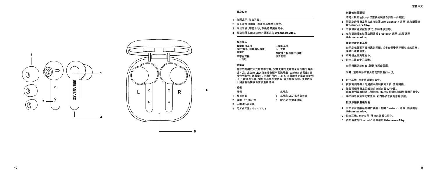- **與其他裝置配對**
- 您可以輕鬆地從一台已連接的裝置改到另一台裝置。
- **1** 開啟您的耳機當前已連接裝置上的 **Bluetooth** 選單,然後斷開連 接 **Urbanears Alby**。
- **2** 耳機現在處於配對模式,在待連接狀態。
- **3** 在您要連接的裝置上開啟其 **Bluetooth** 選單,然後選擇 **Urbanears Alby** 。

# **重新設置您的耳機**

如果您在配對耳機時遇到問題,或者它們變得不穩定或無反應, 請執行硬體重置。

- **1** 將耳機放回充電盒中。
- **2** 取出充電盒中的耳機。

如果問題仍然存在,請恢復原廠設置。

注意:這將刪除有關先前配對裝置的一切。

- **1** 取出耳機,然後將其戴在耳中。
- **2** 按住兩個耳機上的觸控式控制表面 **7** 秒,直到關機。
- **3** 按住兩個耳機上的觸控式控制表面 **10** 秒鐘。 您會聽到耳機開啟,啟動 **Bluetooth** 配對然後關閉電源的聲音。
- **4** 將您的耳機放回充電盒中,它們將被恢復為原廠設置。

#### **恢復原廠設置後配對**

- **1** 在您以前連接過耳機的裝置上打開 **Bluetooth** 選單,然後刪除 **Urbanears Alby** 。
- **2** 取出耳機,等待 5 秒,然後將其戴在耳中。
- **3** 從您裝置的Bluetooth ® 選單選取 **Urbanears Alby** 。



# **首次設定**

- 1 打開盒子,取出耳機。
- 2 取下塑膠保護條,然後將耳機放回盒中。
- 3 取出耳機,等待 5 秒,然後將其戴在耳中。
- 4 從您裝置的Bluetooth® 選單選取 **Urbanears Alby** 。

# **觸控模式**

**雙擊任何耳機** 播放/暫停、接聽電話或掛 斷電話 **三擊左耳機** 上一首歌 **三擊右耳機** 下一首歌 **長按住任何耳塞 2 秒鐘** 語音助理

# **充電盒**

將您的耳機放回充電盒中充電。完整充電的充電盒可為耳機充電高 達 4 次。盒上的 LED 指示燈會顯示電池電量,由綠色(滿電量)至 橘色到紅色(低電量)。使用附帶的 USB-C 充電線將充電盒連接到 USB 電源以充電。當您的耳機在盒內時,會是關機狀態。從盒內取 出將會重新開機並嘗試重新連結

# **結構**

- 耳機 1 觸控表面 2 耳機 LED 指示燈 充電盒 5 充電盒 LED 電池指示燈 6 USB-C 充電連接埠
- 3 手機通話麥克風
- 4 可拆式耳塞(小 / 中 / 大)